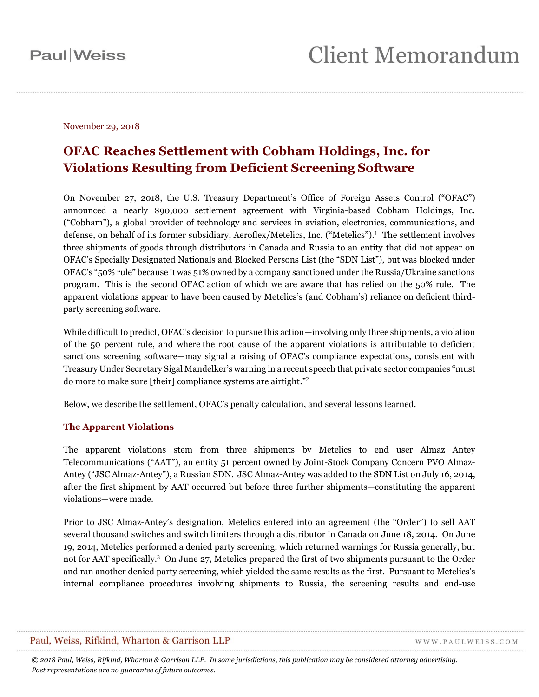November 29, 2018

### **OFAC Reaches Settlement with Cobham Holdings, Inc. for Violations Resulting from Deficient Screening Software**

On November 27, 2018, the U.S. Treasury Department's Office of Foreign Assets Control ("OFAC") announced a nearly \$90,000 settlement agreement with Virginia-based Cobham Holdings, Inc. ("Cobham"), a global provider of technology and services in aviation, electronics, communications, and defense, on behalf of its former subsidiary, Aeroflex/Metelics, Inc. ("Metelics"). 1 The settlement involves three shipments of goods through distributors in Canada and Russia to an entity that did not appear on OFAC's Specially Designated Nationals and Blocked Persons List (the "SDN List"), but was blocked under OFAC's "50% rule" because it was 51% owned by a company sanctioned under the Russia/Ukraine sanctions program. This is the second OFAC action of which we are aware that has relied on the 50% rule. The apparent violations appear to have been caused by Metelics's (and Cobham's) reliance on deficient thirdparty screening software.

While difficult to predict, OFAC's decision to pursue this action—involving only three shipments, a violation of the 50 percent rule, and where the root cause of the apparent violations is attributable to deficient sanctions screening software—may signal a raising of OFAC's compliance expectations, consistent with Treasury Under Secretary Sigal Mandelker's warning in a recent speech that private sector companies "must do more to make sure [their] compliance systems are airtight."<sup>2</sup>

Below, we describe the settlement, OFAC's penalty calculation, and several lessons learned.

### **The Apparent Violations**

The apparent violations stem from three shipments by Metelics to end user Almaz Antey Telecommunications ("AAT"), an entity 51 percent owned by Joint-Stock Company Concern PVO Almaz-Antey ("JSC Almaz-Antey"), a Russian SDN. JSC Almaz-Antey was added to the SDN List on July 16, 2014, after the first shipment by AAT occurred but before three further shipments—constituting the apparent violations—were made.

Prior to JSC Almaz-Antey's designation, Metelics entered into an agreement (the "Order") to sell AAT several thousand switches and switch limiters through a distributor in Canada on June 18, 2014. On June 19, 2014, Metelics performed a denied party screening, which returned warnings for Russia generally, but not for AAT specifically.<sup>3</sup> On June 27, Metelics prepared the first of two shipments pursuant to the Order and ran another denied party screening, which yielded the same results as the first. Pursuant to Metelics's internal compliance procedures involving shipments to Russia, the screening results and end-use

### Paul, Weiss, Rifkind, Wharton & Garrison LLP

WWW.PAULWEISS.COM

*© 2018 Paul, Weiss, Rifkind, Wharton & Garrison LLP. In some jurisdictions, this publication may be considered attorney advertising. Past representations are no guarantee of future outcomes.*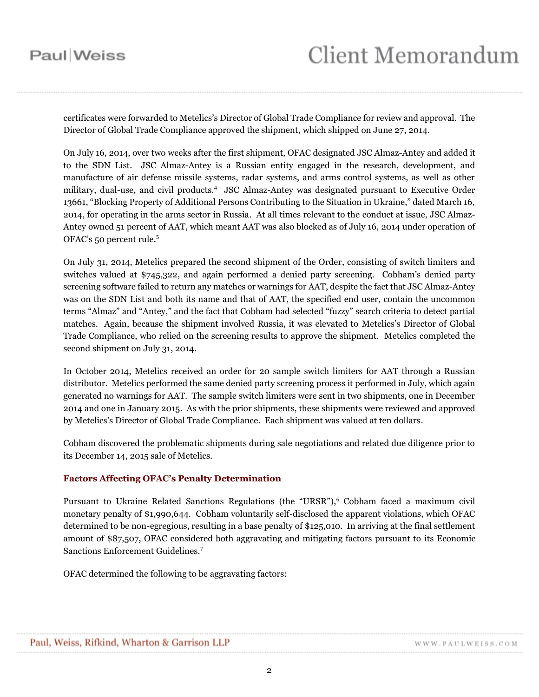certificates were forwarded to Metelics's Director of Global Trade Compliance for review and approval. The Director of Global Trade Compliance approved the shipment, which shipped on June 27, 2014.

On July 16, 2014, over two weeks after the first shipment, OFAC designated JSC Almaz-Antey and added it to the SDN List. JSC Almaz-Antey is a Russian entity engaged in the research, development, and manufacture of air defense missile systems, radar systems, and arms control systems, as well as other military, dual-use, and civil products.<sup>4</sup> JSC Almaz-Antey was designated pursuant to Executive Order 13661, "Blocking Property of Additional Persons Contributing to the Situation in Ukraine," dated March 16, 2014, for operating in the arms sector in Russia. At all times relevant to the conduct at issue, JSC Almaz-Antey owned 51 percent of AAT, which meant AAT was also blocked as of July 16, 2014 under operation of OFAC's 50 percent rule.<sup>5</sup>

On July 31, 2014, Metelics prepared the second shipment of the Order, consisting of switch limiters and switches valued at \$745,322, and again performed a denied party screening. Cobham's denied party screening software failed to return any matches or warnings for AAT, despite the fact that JSC Almaz-Antey was on the SDN List and both its name and that of AAT, the specified end user, contain the uncommon terms "Almaz" and "Antey," and the fact that Cobham had selected "fuzzy" search criteria to detect partial matches. Again, because the shipment involved Russia, it was elevated to Metelics's Director of Global Trade Compliance, who relied on the screening results to approve the shipment. Metelics completed the second shipment on July 31, 2014.

In October 2014, Metelics received an order for 20 sample switch limiters for AAT through a Russian distributor. Metelics performed the same denied party screening process it performed in July, which again generated no warnings for AAT. The sample switch limiters were sent in two shipments, one in December 2014 and one in January 2015. As with the prior shipments, these shipments were reviewed and approved by Metelics's Director of Global Trade Compliance. Each shipment was valued at ten dollars.

Cobham discovered the problematic shipments during sale negotiations and related due diligence prior to its December 14, 2015 sale of Metelics.

#### **Factors Affecting OFAC's Penalty Determination**

Pursuant to Ukraine Related Sanctions Regulations (the "URSR"),<sup>6</sup> Cobham faced a maximum civil monetary penalty of \$1,990,644. Cobham voluntarily self-disclosed the apparent violations, which OFAC determined to be non-egregious, resulting in a base penalty of \$125,010. In arriving at the final settlement amount of \$87,507, OFAC considered both aggravating and mitigating factors pursuant to its Economic Sanctions Enforcement Guidelines.<sup>7</sup>

OFAC determined the following to be aggravating factors: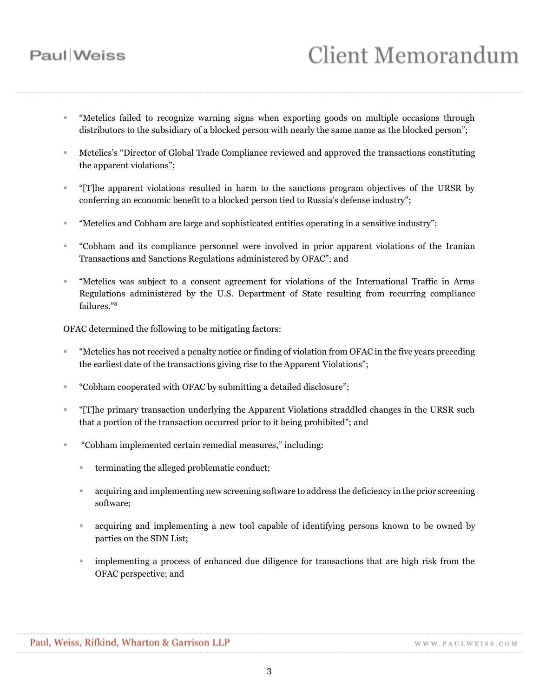# **Client Memorandum**

- "Metelics failed to recognize warning signs when exporting goods on multiple occasions through distributors to the subsidiary of a blocked person with nearly the same name as the blocked person";
- Metelics's "Director of Global Trade Compliance reviewed and approved the transactions constituting the apparent violations";
- "[T]he apparent violations resulted in harm to the sanctions program objectives of the URSR by conferring an economic benefit to a blocked person tied to Russia's defense industry";
- "Metelics and Cobham are large and sophisticated entities operating in a sensitive industry";
- "Cobham and its compliance personnel were involved in prior apparent violations of the Iranian Transactions and Sanctions Regulations administered by OFAC"; and
- "Metelics was subject to a consent agreement for violations of the International Traffic in Arms Regulations administered by the U.S. Department of State resulting from recurring compliance failures."<sup>8</sup>

OFAC determined the following to be mitigating factors:

- "Metelics has not received a penalty notice or finding of violation from OFAC in the five years preceding the earliest date of the transactions giving rise to the Apparent Violations";
- "Cobham cooperated with OFAC by submitting a detailed disclosure";
- "[T]he primary transaction underlying the Apparent Violations straddled changes in the URSR such that a portion of the transaction occurred prior to it being prohibited"; and
- "Cobham implemented certain remedial measures," including:
	- **terminating the alleged problematic conduct;**
	- acquiring and implementing new screening software to address the deficiency in the prior screening software;
	- acquiring and implementing a new tool capable of identifying persons known to be owned by parties on the SDN List;
	- implementing a process of enhanced due diligence for transactions that are high risk from the OFAC perspective; and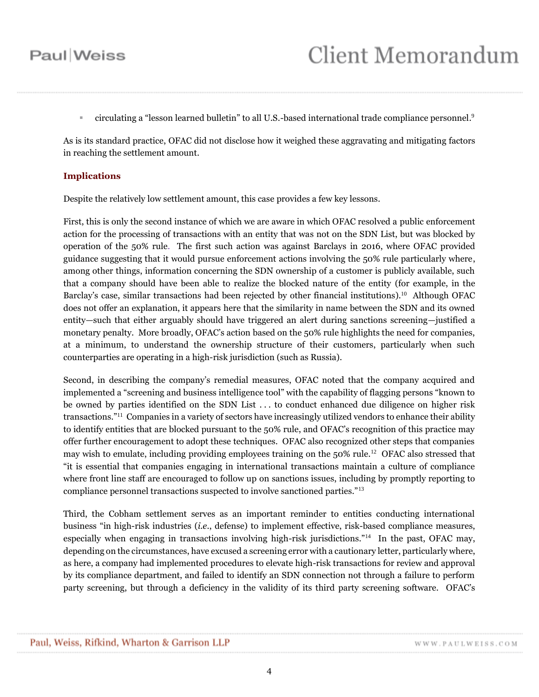• circulating a "lesson learned bulletin" to all U.S.-based international trade compliance personnel.<sup>9</sup>

As is its standard practice, OFAC did not disclose how it weighed these aggravating and mitigating factors in reaching the settlement amount.

#### **Implications**

Despite the relatively low settlement amount, this case provides a few key lessons.

First, this is only the second instance of which we are aware in which OFAC resolved a public enforcement action for the processing of transactions with an entity that was not on the SDN List, but was blocked by operation of the 50% rule. The first such action was against Barclays in 2016, where OFAC provided guidance suggesting that it would pursue enforcement actions involving the 50% rule particularly where, among other things, information concerning the SDN ownership of a customer is publicly available, such that a company should have been able to realize the blocked nature of the entity (for example, in the Barclay's case, similar transactions had been rejected by other financial institutions).<sup>10</sup> Although OFAC does not offer an explanation, it appears here that the similarity in name between the SDN and its owned entity—such that either arguably should have triggered an alert during sanctions screening—justified a monetary penalty. More broadly, OFAC's action based on the 50% rule highlights the need for companies, at a minimum, to understand the ownership structure of their customers, particularly when such counterparties are operating in a high-risk jurisdiction (such as Russia).

Second, in describing the company's remedial measures, OFAC noted that the company acquired and implemented a "screening and business intelligence tool" with the capability of flagging persons "known to be owned by parties identified on the SDN List . . . to conduct enhanced due diligence on higher risk transactions." 11 Companies in a variety of sectors have increasingly utilized vendors to enhance their ability to identify entities that are blocked pursuant to the 50% rule, and OFAC's recognition of this practice may offer further encouragement to adopt these techniques. OFAC also recognized other steps that companies may wish to emulate, including providing employees training on the 50% rule.<sup>12</sup> OFAC also stressed that "it is essential that companies engaging in international transactions maintain a culture of compliance where front line staff are encouraged to follow up on sanctions issues, including by promptly reporting to compliance personnel transactions suspected to involve sanctioned parties."<sup>13</sup>

Third, the Cobham settlement serves as an important reminder to entities conducting international business "in high-risk industries (*i.e.*, defense) to implement effective, risk-based compliance measures, especially when engaging in transactions involving high-risk jurisdictions."<sup>14</sup> In the past, OFAC may, depending on the circumstances, have excused a screening error with a cautionary letter, particularly where, as here, a company had implemented procedures to elevate high-risk transactions for review and approval by its compliance department, and failed to identify an SDN connection not through a failure to perform party screening, but through a deficiency in the validity of its third party screening software. OFAC's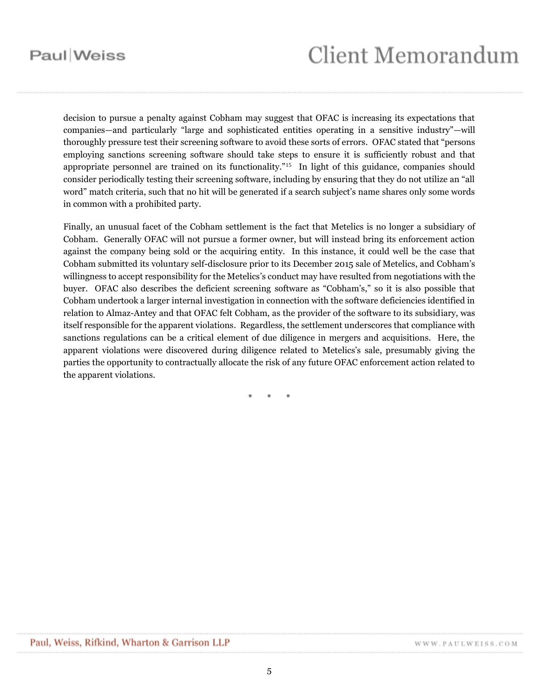# **Client Memorandum**

decision to pursue a penalty against Cobham may suggest that OFAC is increasing its expectations that companies—and particularly "large and sophisticated entities operating in a sensitive industry"—will thoroughly pressure test their screening software to avoid these sorts of errors. OFAC stated that "persons employing sanctions screening software should take steps to ensure it is sufficiently robust and that appropriate personnel are trained on its functionality."<sup>15</sup> In light of this guidance, companies should consider periodically testing their screening software, including by ensuring that they do not utilize an "all word" match criteria, such that no hit will be generated if a search subject's name shares only some words in common with a prohibited party.

Finally, an unusual facet of the Cobham settlement is the fact that Metelics is no longer a subsidiary of Cobham. Generally OFAC will not pursue a former owner, but will instead bring its enforcement action against the company being sold or the acquiring entity. In this instance, it could well be the case that Cobham submitted its voluntary self-disclosure prior to its December 2015 sale of Metelics, and Cobham's willingness to accept responsibility for the Metelics's conduct may have resulted from negotiations with the buyer. OFAC also describes the deficient screening software as "Cobham's," so it is also possible that Cobham undertook a larger internal investigation in connection with the software deficiencies identified in relation to Almaz-Antey and that OFAC felt Cobham, as the provider of the software to its subsidiary, was itself responsible for the apparent violations. Regardless, the settlement underscores that compliance with sanctions regulations can be a critical element of due diligence in mergers and acquisitions. Here, the apparent violations were discovered during diligence related to Metelics's sale, presumably giving the parties the opportunity to contractually allocate the risk of any future OFAC enforcement action related to the apparent violations.

\* \* \*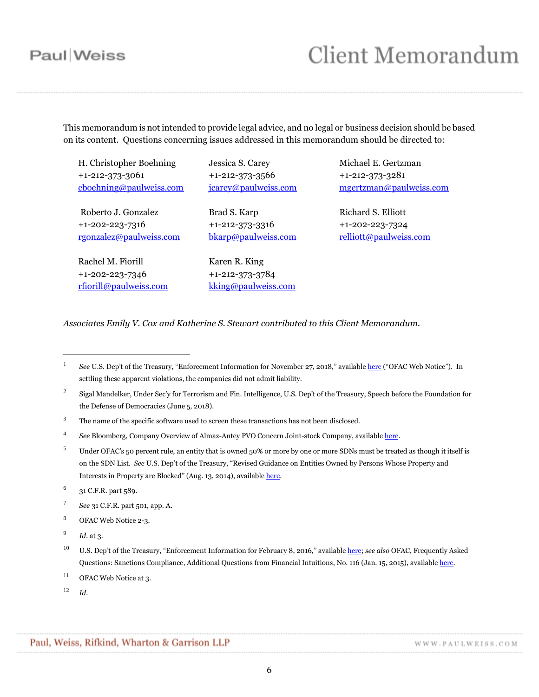## **Client Memorandum**

This memorandum is not intended to provide legal advice, and no legal or business decision should be based on its content. Questions concerning issues addressed in this memorandum should be directed to:

H. Christopher Boehning +1-212-373-3061 [cboehning@paulweiss.com](mailto:cboehning@paulweiss.com)

Roberto J. Gonzalez +1-202-223-7316 [rgonzalez@paulweiss.com](mailto:rgonzalez@paulweiss.com)

Rachel M. Fiorill +1-202-223-7346 [rfiorill@paulweiss.com](mailto:rfiorill@paulweiss.com) Jessica S. Carey +1-212-373-3566 [jcarey@paulweiss.com](mailto:jcarey@paulweiss.com)

Brad S. Karp +1-212-373-3316 [bkarp@paulweiss.com](mailto:bkarp@paulweiss.com)

Karen R. King +1-212-373-3784 [kking@paulweiss.com](mailto:kking@paulweiss.com) Michael E. Gertzman +1-212-373-3281 [mgertzman@paulweiss.com](mailto:mgertzman@paulweiss.com)

Richard S. Elliott +1-202-223-7324 [relliott@paulweiss.com](mailto:relliott@paulweiss.com)

*Associates Emily V. Cox and Katherine S. Stewart contributed to this Client Memorandum.*

- 7 *See* 31 C.F.R. part 501, app. A.
- <sup>8</sup> OFAC Web Notice 2-3.
- 9 *Id.* at 3.

 $\overline{a}$ 

- $11$  OFAC Web Notice at 3.
- <sup>12</sup> *Id.*

WWW.PAULWEISS.COM

<sup>1</sup> *See* U.S. Dep't of the Treasury, "Enforcement Information for November 27, 2018," available [here](https://www.treasury.gov/resource-center/sanctions/CivPen/Documents/20181127_metelics.pdf) ("OFAC Web Notice"). In settling these apparent violations, the companies did not admit liability.

<sup>2</sup> Sigal Mandelker, Under Sec'y for Terrorism and Fin. Intelligence, U.S. Dep't of the Treasury, Speech before the Foundation for the Defense of Democracies (June 5, 2018).

<sup>&</sup>lt;sup>3</sup> The name of the specific software used to screen these transactions has not been disclosed.

<sup>4</sup> *See* Bloomberg, Company Overview of Almaz-Antey PVO Concern Joint-stock Company, availabl[e here.](https://www.bloomberg.com/research/stocks/private/snapshot.asp?privcapId=34169028)

<sup>&</sup>lt;sup>5</sup> Under OFAC's 50 percent rule, an entity that is owned 50% or more by one or more SDNs must be treated as though it itself is on the SDN List. *See* U.S. Dep't of the Treasury, "Revised Guidance on Entities Owned by Persons Whose Property and Interests in Property are Blocked" (Aug. 13, 2014), availabl[e here.](https://www.treasury.gov/resource-center/sanctions/Documents/licensing_guidance.pdf)

<sup>6</sup> 31 C.F.R. part 589.

<sup>10</sup> U.S. Dep't of the Treasury, "Enforcement Information for February 8, 2016," available [here;](https://www.treasury.gov/resource-center/sanctions/CivPen/Documents/20160208_barclays.pdf) *see also* OFAC, Frequently Asked Questions: Sanctions Compliance, Additional Questions from Financial Intuitions, No. 116 (Jan. 15, 2015), availabl[e here.](https://www.treasury.gov/resource-center/faqs/Sanctions/Pages/faq_compliance.aspx#other_fi)